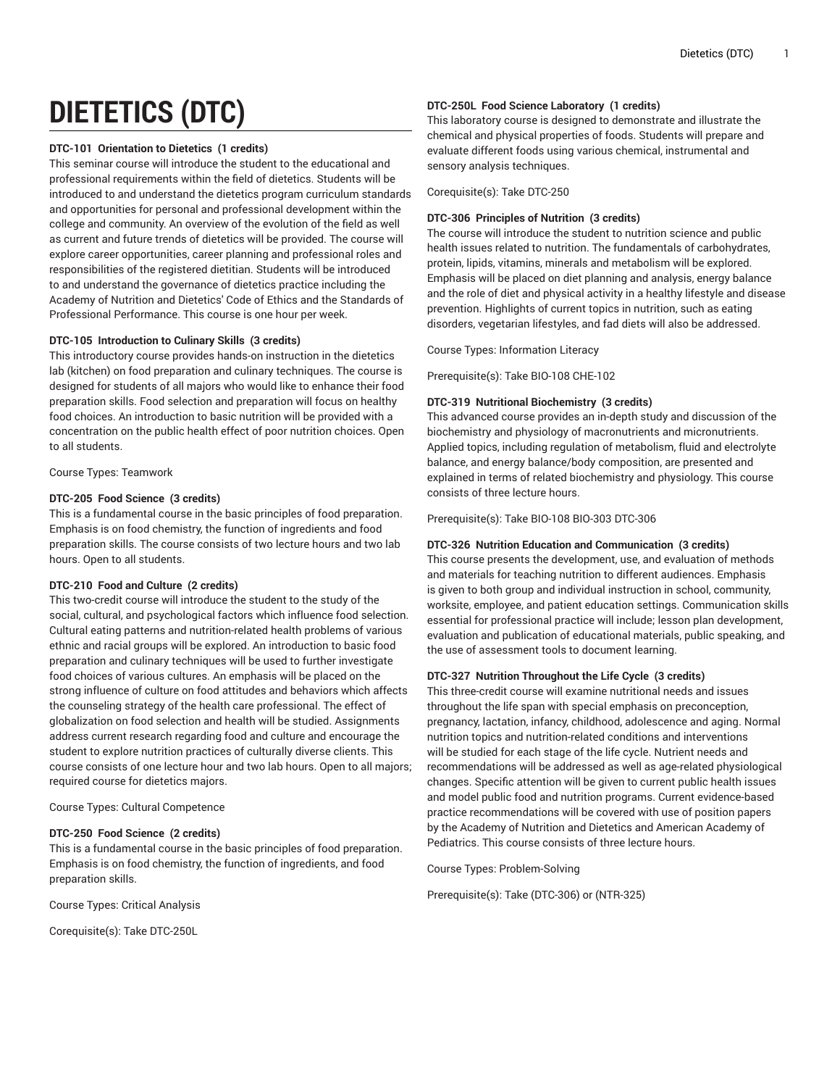# **DIETETICS (DTC)**

## **DTC-101 Orientation to Dietetics (1 credits)**

This seminar course will introduce the student to the educational and professional requirements within the field of dietetics. Students will be introduced to and understand the dietetics program curriculum standards and opportunities for personal and professional development within the college and community. An overview of the evolution of the field as well as current and future trends of dietetics will be provided. The course will explore career opportunities, career planning and professional roles and responsibilities of the registered dietitian. Students will be introduced to and understand the governance of dietetics practice including the Academy of Nutrition and Dietetics' Code of Ethics and the Standards of Professional Performance. This course is one hour per week.

# **DTC-105 Introduction to Culinary Skills (3 credits)**

This introductory course provides hands-on instruction in the dietetics lab (kitchen) on food preparation and culinary techniques. The course is designed for students of all majors who would like to enhance their food preparation skills. Food selection and preparation will focus on healthy food choices. An introduction to basic nutrition will be provided with a concentration on the public health effect of poor nutrition choices. Open to all students.

Course Types: Teamwork

## **DTC-205 Food Science (3 credits)**

This is a fundamental course in the basic principles of food preparation. Emphasis is on food chemistry, the function of ingredients and food preparation skills. The course consists of two lecture hours and two lab hours. Open to all students.

# **DTC-210 Food and Culture (2 credits)**

This two-credit course will introduce the student to the study of the social, cultural, and psychological factors which influence food selection. Cultural eating patterns and nutrition-related health problems of various ethnic and racial groups will be explored. An introduction to basic food preparation and culinary techniques will be used to further investigate food choices of various cultures. An emphasis will be placed on the strong influence of culture on food attitudes and behaviors which affects the counseling strategy of the health care professional. The effect of globalization on food selection and health will be studied. Assignments address current research regarding food and culture and encourage the student to explore nutrition practices of culturally diverse clients. This course consists of one lecture hour and two lab hours. Open to all majors; required course for dietetics majors.

Course Types: Cultural Competence

# **DTC-250 Food Science (2 credits)**

This is a fundamental course in the basic principles of food preparation. Emphasis is on food chemistry, the function of ingredients, and food preparation skills.

Course Types: Critical Analysis

Corequisite(s): Take DTC-250L

## **DTC-250L Food Science Laboratory (1 credits)**

This laboratory course is designed to demonstrate and illustrate the chemical and physical properties of foods. Students will prepare and evaluate different foods using various chemical, instrumental and sensory analysis techniques.

Corequisite(s): Take DTC-250

# **DTC-306 Principles of Nutrition (3 credits)**

The course will introduce the student to nutrition science and public health issues related to nutrition. The fundamentals of carbohydrates, protein, lipids, vitamins, minerals and metabolism will be explored. Emphasis will be placed on diet planning and analysis, energy balance and the role of diet and physical activity in a healthy lifestyle and disease prevention. Highlights of current topics in nutrition, such as eating disorders, vegetarian lifestyles, and fad diets will also be addressed.

Course Types: Information Literacy

Prerequisite(s): Take BIO-108 CHE-102

## **DTC-319 Nutritional Biochemistry (3 credits)**

This advanced course provides an in-depth study and discussion of the biochemistry and physiology of macronutrients and micronutrients. Applied topics, including regulation of metabolism, fluid and electrolyte balance, and energy balance/body composition, are presented and explained in terms of related biochemistry and physiology. This course consists of three lecture hours.

Prerequisite(s): Take BIO-108 BIO-303 DTC-306

## **DTC-326 Nutrition Education and Communication (3 credits)**

This course presents the development, use, and evaluation of methods and materials for teaching nutrition to different audiences. Emphasis is given to both group and individual instruction in school, community, worksite, employee, and patient education settings. Communication skills essential for professional practice will include; lesson plan development, evaluation and publication of educational materials, public speaking, and the use of assessment tools to document learning.

## **DTC-327 Nutrition Throughout the Life Cycle (3 credits)**

This three-credit course will examine nutritional needs and issues throughout the life span with special emphasis on preconception, pregnancy, lactation, infancy, childhood, adolescence and aging. Normal nutrition topics and nutrition-related conditions and interventions will be studied for each stage of the life cycle. Nutrient needs and recommendations will be addressed as well as age-related physiological changes. Specific attention will be given to current public health issues and model public food and nutrition programs. Current evidence-based practice recommendations will be covered with use of position papers by the Academy of Nutrition and Dietetics and American Academy of Pediatrics. This course consists of three lecture hours.

Course Types: Problem-Solving

Prerequisite(s): Take (DTC-306) or (NTR-325)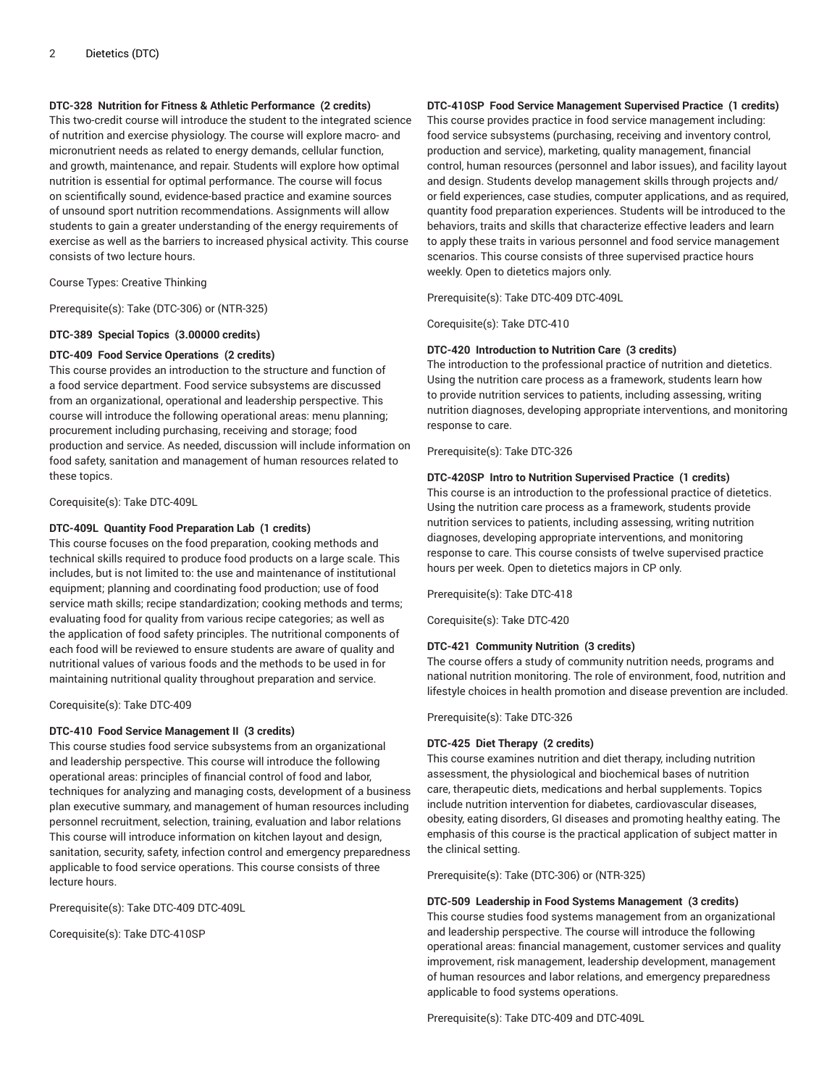# **DTC-328 Nutrition for Fitness & Athletic Performance (2 credits)**

This two-credit course will introduce the student to the integrated science of nutrition and exercise physiology. The course will explore macro- and micronutrient needs as related to energy demands, cellular function, and growth, maintenance, and repair. Students will explore how optimal nutrition is essential for optimal performance. The course will focus on scientifically sound, evidence-based practice and examine sources of unsound sport nutrition recommendations. Assignments will allow students to gain a greater understanding of the energy requirements of exercise as well as the barriers to increased physical activity. This course consists of two lecture hours.

Course Types: Creative Thinking

Prerequisite(s): Take (DTC-306) or (NTR-325)

### **DTC-389 Special Topics (3.00000 credits)**

# **DTC-409 Food Service Operations (2 credits)**

This course provides an introduction to the structure and function of a food service department. Food service subsystems are discussed from an organizational, operational and leadership perspective. This course will introduce the following operational areas: menu planning; procurement including purchasing, receiving and storage; food production and service. As needed, discussion will include information on food safety, sanitation and management of human resources related to these topics.

Corequisite(s): Take DTC-409L

#### **DTC-409L Quantity Food Preparation Lab (1 credits)**

This course focuses on the food preparation, cooking methods and technical skills required to produce food products on a large scale. This includes, but is not limited to: the use and maintenance of institutional equipment; planning and coordinating food production; use of food service math skills; recipe standardization; cooking methods and terms; evaluating food for quality from various recipe categories; as well as the application of food safety principles. The nutritional components of each food will be reviewed to ensure students are aware of quality and nutritional values of various foods and the methods to be used in for maintaining nutritional quality throughout preparation and service.

Corequisite(s): Take DTC-409

#### **DTC-410 Food Service Management II (3 credits)**

This course studies food service subsystems from an organizational and leadership perspective. This course will introduce the following operational areas: principles of financial control of food and labor, techniques for analyzing and managing costs, development of a business plan executive summary, and management of human resources including personnel recruitment, selection, training, evaluation and labor relations This course will introduce information on kitchen layout and design, sanitation, security, safety, infection control and emergency preparedness applicable to food service operations. This course consists of three lecture hours.

Prerequisite(s): Take DTC-409 DTC-409L

Corequisite(s): Take DTC-410SP

## **DTC-410SP Food Service Management Supervised Practice (1 credits)**

This course provides practice in food service management including: food service subsystems (purchasing, receiving and inventory control, production and service), marketing, quality management, financial control, human resources (personnel and labor issues), and facility layout and design. Students develop management skills through projects and/ or field experiences, case studies, computer applications, and as required, quantity food preparation experiences. Students will be introduced to the behaviors, traits and skills that characterize effective leaders and learn to apply these traits in various personnel and food service management scenarios. This course consists of three supervised practice hours weekly. Open to dietetics majors only.

Prerequisite(s): Take DTC-409 DTC-409L

Corequisite(s): Take DTC-410

#### **DTC-420 Introduction to Nutrition Care (3 credits)**

The introduction to the professional practice of nutrition and dietetics. Using the nutrition care process as a framework, students learn how to provide nutrition services to patients, including assessing, writing nutrition diagnoses, developing appropriate interventions, and monitoring response to care.

Prerequisite(s): Take DTC-326

#### **DTC-420SP Intro to Nutrition Supervised Practice (1 credits)**

This course is an introduction to the professional practice of dietetics. Using the nutrition care process as a framework, students provide nutrition services to patients, including assessing, writing nutrition diagnoses, developing appropriate interventions, and monitoring response to care. This course consists of twelve supervised practice hours per week. Open to dietetics majors in CP only.

Prerequisite(s): Take DTC-418

Corequisite(s): Take DTC-420

#### **DTC-421 Community Nutrition (3 credits)**

The course offers a study of community nutrition needs, programs and national nutrition monitoring. The role of environment, food, nutrition and lifestyle choices in health promotion and disease prevention are included.

Prerequisite(s): Take DTC-326

#### **DTC-425 Diet Therapy (2 credits)**

This course examines nutrition and diet therapy, including nutrition assessment, the physiological and biochemical bases of nutrition care, therapeutic diets, medications and herbal supplements. Topics include nutrition intervention for diabetes, cardiovascular diseases, obesity, eating disorders, GI diseases and promoting healthy eating. The emphasis of this course is the practical application of subject matter in the clinical setting.

Prerequisite(s): Take (DTC-306) or (NTR-325)

#### **DTC-509 Leadership in Food Systems Management (3 credits)**

This course studies food systems management from an organizational and leadership perspective. The course will introduce the following operational areas: financial management, customer services and quality improvement, risk management, leadership development, management of human resources and labor relations, and emergency preparedness applicable to food systems operations.

Prerequisite(s): Take DTC-409 and DTC-409L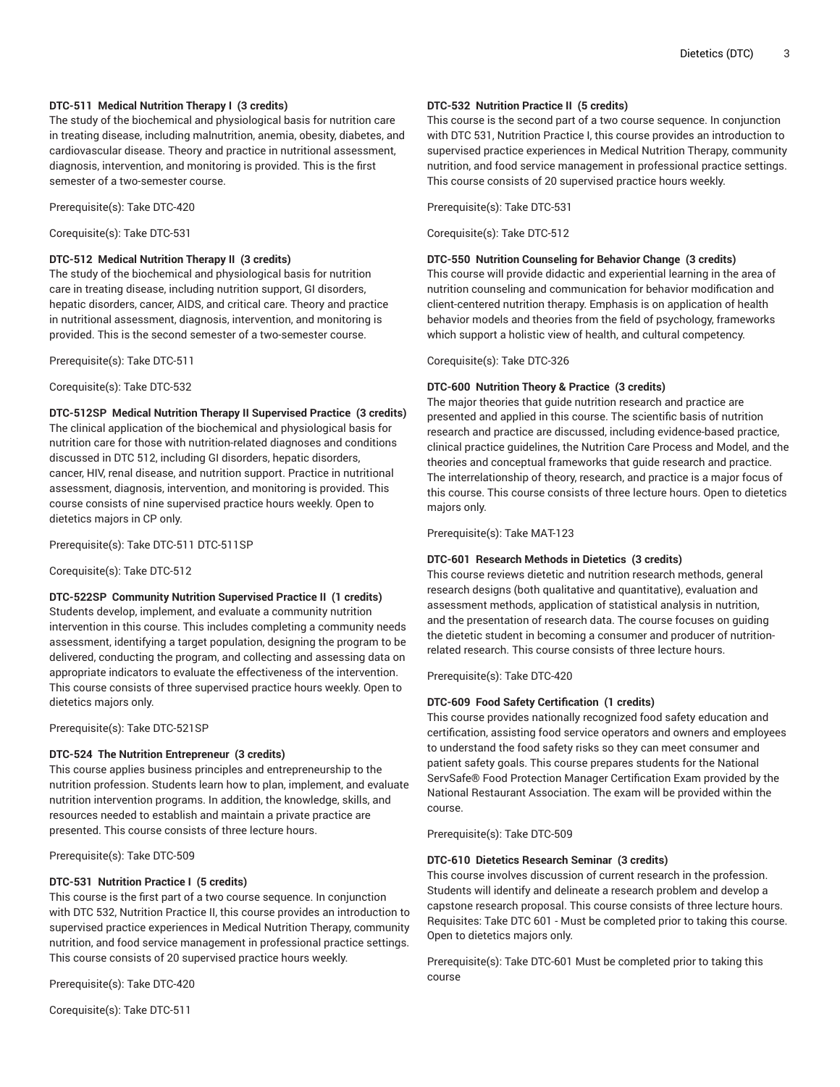# **DTC-511 Medical Nutrition Therapy I (3 credits)**

The study of the biochemical and physiological basis for nutrition care in treating disease, including malnutrition, anemia, obesity, diabetes, and cardiovascular disease. Theory and practice in nutritional assessment, diagnosis, intervention, and monitoring is provided. This is the first semester of a two-semester course.

Prerequisite(s): Take DTC-420

Corequisite(s): Take DTC-531

## **DTC-512 Medical Nutrition Therapy II (3 credits)**

The study of the biochemical and physiological basis for nutrition care in treating disease, including nutrition support, GI disorders, hepatic disorders, cancer, AIDS, and critical care. Theory and practice in nutritional assessment, diagnosis, intervention, and monitoring is provided. This is the second semester of a two-semester course.

Prerequisite(s): Take DTC-511

Corequisite(s): Take DTC-532

## **DTC-512SP Medical Nutrition Therapy II Supervised Practice (3 credits)**

The clinical application of the biochemical and physiological basis for nutrition care for those with nutrition-related diagnoses and conditions discussed in DTC 512, including GI disorders, hepatic disorders, cancer, HIV, renal disease, and nutrition support. Practice in nutritional assessment, diagnosis, intervention, and monitoring is provided. This course consists of nine supervised practice hours weekly. Open to dietetics majors in CP only.

Prerequisite(s): Take DTC-511 DTC-511SP

Corequisite(s): Take DTC-512

## **DTC-522SP Community Nutrition Supervised Practice II (1 credits)**

Students develop, implement, and evaluate a community nutrition intervention in this course. This includes completing a community needs assessment, identifying a target population, designing the program to be delivered, conducting the program, and collecting and assessing data on appropriate indicators to evaluate the effectiveness of the intervention. This course consists of three supervised practice hours weekly. Open to dietetics majors only.

Prerequisite(s): Take DTC-521SP

## **DTC-524 The Nutrition Entrepreneur (3 credits)**

This course applies business principles and entrepreneurship to the nutrition profession. Students learn how to plan, implement, and evaluate nutrition intervention programs. In addition, the knowledge, skills, and resources needed to establish and maintain a private practice are presented. This course consists of three lecture hours.

Prerequisite(s): Take DTC-509

## **DTC-531 Nutrition Practice I (5 credits)**

This course is the first part of a two course sequence. In conjunction with DTC 532, Nutrition Practice II, this course provides an introduction to supervised practice experiences in Medical Nutrition Therapy, community nutrition, and food service management in professional practice settings. This course consists of 20 supervised practice hours weekly.

Prerequisite(s): Take DTC-420

Corequisite(s): Take DTC-511

## **DTC-532 Nutrition Practice II (5 credits)**

This course is the second part of a two course sequence. In conjunction with DTC 531, Nutrition Practice I, this course provides an introduction to supervised practice experiences in Medical Nutrition Therapy, community nutrition, and food service management in professional practice settings. This course consists of 20 supervised practice hours weekly.

Prerequisite(s): Take DTC-531

Corequisite(s): Take DTC-512

### **DTC-550 Nutrition Counseling for Behavior Change (3 credits)**

This course will provide didactic and experiential learning in the area of nutrition counseling and communication for behavior modification and client-centered nutrition therapy. Emphasis is on application of health behavior models and theories from the field of psychology, frameworks which support a holistic view of health, and cultural competency.

Corequisite(s): Take DTC-326

## **DTC-600 Nutrition Theory & Practice (3 credits)**

The major theories that guide nutrition research and practice are presented and applied in this course. The scientific basis of nutrition research and practice are discussed, including evidence-based practice, clinical practice guidelines, the Nutrition Care Process and Model, and the theories and conceptual frameworks that guide research and practice. The interrelationship of theory, research, and practice is a major focus of this course. This course consists of three lecture hours. Open to dietetics majors only.

Prerequisite(s): Take MAT-123

## **DTC-601 Research Methods in Dietetics (3 credits)**

This course reviews dietetic and nutrition research methods, general research designs (both qualitative and quantitative), evaluation and assessment methods, application of statistical analysis in nutrition, and the presentation of research data. The course focuses on guiding the dietetic student in becoming a consumer and producer of nutritionrelated research. This course consists of three lecture hours.

Prerequisite(s): Take DTC-420

## **DTC-609 Food Safety Certification (1 credits)**

This course provides nationally recognized food safety education and certification, assisting food service operators and owners and employees to understand the food safety risks so they can meet consumer and patient safety goals. This course prepares students for the National ServSafe® Food Protection Manager Certification Exam provided by the National Restaurant Association. The exam will be provided within the course.

Prerequisite(s): Take DTC-509

## **DTC-610 Dietetics Research Seminar (3 credits)**

This course involves discussion of current research in the profession. Students will identify and delineate a research problem and develop a capstone research proposal. This course consists of three lecture hours. Requisites: Take DTC 601 - Must be completed prior to taking this course. Open to dietetics majors only.

Prerequisite(s): Take DTC-601 Must be completed prior to taking this course